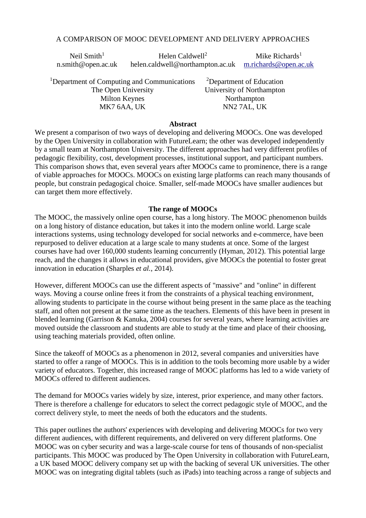## A COMPARISON OF MOOC DEVELOPMENT AND DELIVERY APPROACHES

| Neil $Smith1$                                           | Helen Caldwell <sup>2</sup> |                                                        | Mike Richards <sup>1</sup>           |  |
|---------------------------------------------------------|-----------------------------|--------------------------------------------------------|--------------------------------------|--|
| n.smith@open.ac.uk                                      |                             | helen.caldwell@northampton.ac.uk m.richards@open.ac.uk |                                      |  |
| <sup>1</sup> Department of Computing and Communications |                             |                                                        | <sup>2</sup> Department of Education |  |
| The Open University                                     |                             | University of Northampton                              |                                      |  |
| Milton Keynes                                           |                             | Northampton                                            |                                      |  |

MK7 6AA, UK NN2 7AL, UK

#### **Abstract**

We present a comparison of two ways of developing and delivering MOOCs. One was developed by the Open University in collaboration with FutureLearn; the other was developed independently by a small team at Northampton University. The different approaches had very different profiles of pedagogic flexibility, cost, development processes, institutional support, and participant numbers. This comparison shows that, even several years after MOOCs came to prominence, there is a range of viable approaches for MOOCs. MOOCs on existing large platforms can reach many thousands of people, but constrain pedagogical choice. Smaller, self-made MOOCs have smaller audiences but can target them more effectively.

#### **The range of MOOCs**

The MOOC, the massively online open course, has a long history. The MOOC phenomenon builds on a long history of distance education, but takes it into the modern online world. Large scale interactions systems, using technology developed for social networks and e-commerce, have been repurposed to deliver education at a large scale to many students at once. Some of the largest courses have had over 160,000 students learning concurrently (Hyman, 2012). This potential large reach, and the changes it allows in educational providers, give MOOCs the potential to foster great innovation in education (Sharples *et al.*, 2014).

However, different MOOCs can use the different aspects of "massive" and "online" in different ways. Moving a course online frees it from the constraints of a physical teaching environment, allowing students to participate in the course without being present in the same place as the teaching staff, and often not present at the same time as the teachers. Elements of this have been in present in blended learning (Garrison & Kanuka, 2004) courses for several years, where learning activities are moved outside the classroom and students are able to study at the time and place of their choosing, using teaching materials provided, often online.

Since the takeoff of MOOCs as a phenomenon in 2012, several companies and universities have started to offer a range of MOOCs. This is in addition to the tools becoming more usable by a wider variety of educators. Together, this increased range of MOOC platforms has led to a wide variety of MOOCs offered to different audiences.

The demand for MOOCs varies widely by size, interest, prior experience, and many other factors. There is therefore a challenge for educators to select the correct pedagogic style of MOOC, and the correct delivery style, to meet the needs of both the educators and the students.

This paper outlines the authors' experiences with developing and delivering MOOCs for two very different audiences, with different requirements, and delivered on very different platforms. One MOOC was on cyber security and was a large-scale course for tens of thousands of non-specialist participants. This MOOC was produced by The Open University in collaboration with FutureLearn, a UK based MOOC delivery company set up with the backing of several UK universities. The other MOOC was on integrating digital tablets (such as iPads) into teaching across a range of subjects and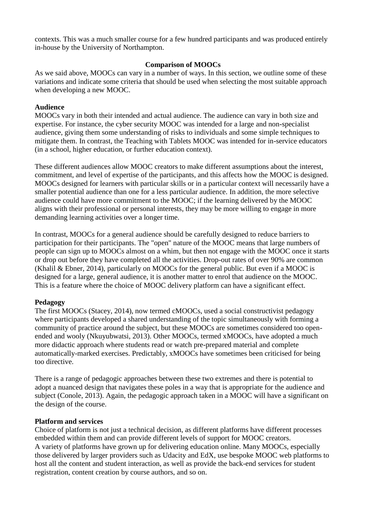contexts. This was a much smaller course for a few hundred participants and was produced entirely in-house by the University of Northampton.

## **Comparison of MOOCs**

As we said above, MOOCs can vary in a number of ways. In this section, we outline some of these variations and indicate some criteria that should be used when selecting the most suitable approach when developing a new MOOC.

# **Audience**

MOOCs vary in both their intended and actual audience. The audience can vary in both size and expertise. For instance, the cyber security MOOC was intended for a large and non-specialist audience, giving them some understanding of risks to individuals and some simple techniques to mitigate them. In contrast, the Teaching with Tablets MOOC was intended for in-service educators (in a school, higher education, or further education context).

These different audiences allow MOOC creators to make different assumptions about the interest, commitment, and level of expertise of the participants, and this affects how the MOOC is designed. MOOCs designed for learners with particular skills or in a particular context will necessarily have a smaller potential audience than one for a less particular audience. In addition, the more selective audience could have more commitment to the MOOC; if the learning delivered by the MOOC aligns with their professional or personal interests, they may be more willing to engage in more demanding learning activities over a longer time.

In contrast, MOOCs for a general audience should be carefully designed to reduce barriers to participation for their participants. The "open" nature of the MOOC means that large numbers of people can sign up to MOOCs almost on a whim, but then not engage with the MOOC once it starts or drop out before they have completed all the activities. Drop-out rates of over 90% are common (Khalil & Ebner, 2014), particularly on MOOCs for the general public. But even if a MOOC is designed for a large, general audience, it is another matter to enrol that audience on the MOOC. This is a feature where the choice of MOOC delivery platform can have a significant effect.

#### **Pedagogy**

The first MOOCs (Stacey, 2014), now termed cMOOCs, used a social constructivist pedagogy where participants developed a shared understanding of the topic simultaneously with forming a community of practice around the subject, but these MOOCs are sometimes considered too openended and wooly (Nkuyubwatsi, 2013). Other MOOCs, termed xMOOCs, have adopted a much more didactic approach where students read or watch pre-prepared material and complete automatically-marked exercises. Predictably, xMOOCs have sometimes been criticised for being too directive.

There is a range of pedagogic approaches between these two extremes and there is potential to adopt a nuanced design that navigates these poles in a way that is appropriate for the audience and subject (Conole, 2013). Again, the pedagogic approach taken in a MOOC will have a significant on the design of the course.

#### **Platform and services**

Choice of platform is not just a technical decision, as different platforms have different processes embedded within them and can provide different levels of support for MOOC creators. A variety of platforms have grown up for delivering education online. Many MOOCs, especially those delivered by larger providers such as Udacity and EdX, use bespoke MOOC web platforms to host all the content and student interaction, as well as provide the back-end services for student registration, content creation by course authors, and so on.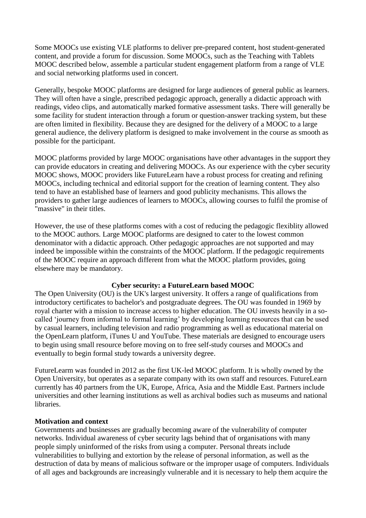Some MOOCs use existing VLE platforms to deliver pre-prepared content, host student-generated content, and provide a forum for discussion. Some MOOCs, such as the Teaching with Tablets MOOC described below, assemble a particular student engagement platform from a range of VLE and social networking platforms used in concert.

Generally, bespoke MOOC platforms are designed for large audiences of general public as learners. They will often have a single, prescribed pedagogic approach, generally a didactic approach with readings, video clips, and automatically marked formative assessment tasks. There will generally be some facility for student interaction through a forum or question-answer tracking system, but these are often limited in flexibility. Because they are designed for the delivery of a MOOC to a large general audience, the delivery platform is designed to make involvement in the course as smooth as possible for the participant.

MOOC platforms provided by large MOOC organisations have other advantages in the support they can provide educators in creating and delivering MOOCs. As our experience with the cyber security MOOC shows, MOOC providers like FutureLearn have a robust process for creating and refining MOOCs, including technical and editorial support for the creation of learning content. They also tend to have an established base of learners and good publicity mechanisms. This allows the providers to gather large audiences of learners to MOOCs, allowing courses to fulfil the promise of "massive" in their titles.

However, the use of these platforms comes with a cost of reducing the pedagogic flexiblity allowed to the MOOC authors. Large MOOC platforms are designed to cater to the lowest common denominator with a didactic approach. Other pedagogic approaches are not supported and may indeed be impossible within the constraints of the MOOC platform. If the pedagogic requirements of the MOOC require an approach different from what the MOOC platform provides, going elsewhere may be mandatory.

# **Cyber security: a FutureLearn based MOOC**

The Open University (OU) is the UK's largest university. It offers a range of qualifications from introductory certificates to bachelor's and postgraduate degrees. The OU was founded in 1969 by royal charter with a mission to increase access to higher education. The OU invests heavily in a socalled 'journey from informal to formal learning' by developing learning resources that can be used by casual learners, including television and radio programming as well as educational material on the OpenLearn platform, iTunes U and YouTube. These materials are designed to encourage users to begin using small resource before moving on to free self-study courses and MOOCs and eventually to begin formal study towards a university degree.

FutureLearm was founded in 2012 as the first UK-led MOOC platform. It is wholly owned by the Open University, but operates as a separate company with its own staff and resources. FutureLearn currently has 40 partners from the UK, Europe, Africa, Asia and the Middle East. Partners include universities and other learning institutions as well as archival bodies such as museums and national libraries.

#### **Motivation and context**

Governments and businesses are gradually becoming aware of the vulnerability of computer networks. Individual awareness of cyber security lags behind that of organisations with many people simply uninformed of the risks from using a computer. Personal threats include vulnerabilities to bullying and extortion by the release of personal information, as well as the destruction of data by means of malicious software or the improper usage of computers. Individuals of all ages and backgrounds are increasingly vulnerable and it is necessary to help them acquire the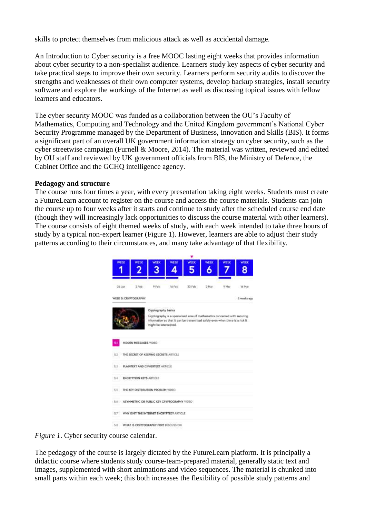skills to protect themselves from malicious attack as well as accidental damage.

An Introduction to Cyber security is a free MOOC lasting eight weeks that provides information about cyber security to a non-specialist audience. Learners study key aspects of cyber security and take practical steps to improve their own security. Learners perform security audits to discover the strengths and weaknesses of their own computer systems, develop backup strategies, install security software and explore the workings of the Internet as well as discussing topical issues with fellow learners and educators.

The cyber security MOOC was funded as a collaboration between the OU's Faculty of Mathematics, Computing and Technology and the United Kingdom government's National Cyber Security Programme managed by the Department of Business, Innovation and Skills (BIS). It forms a significant part of an overall UK government information strategy on cyber security, such as the cyber streetwise campaign (Furnell & Moore, 2014). The material was written, reviewed and edited by OU staff and reviewed by UK government officials from BIS, the Ministry of Defence, the Cabinet Office and the GCHQ intelligence agency.

## **Pedagogy and structure**

The course runs four times a year, with every presentation taking eight weeks. Students must create a FutureLearn account to register on the course and access the course materials. Students can join the course up to four weeks after it starts and continue to study after the scheduled course end date (though they will increasingly lack opportunities to discuss the course material with other learners). The course consists of eight themed weeks of study, with each week intended to take three hours of study by a typical non-expert learner (Figure 1). However, learners are able to adjust their study patterns according to their circumstances, and many take advantage of that flexibility.



*Figure 1*. Cyber security course calendar.

The pedagogy of the course is largely dictated by the FutureLearn platform. It is principally a didactic course where students study course-team-prepared material, generally static text and images, supplemented with short animations and video sequences. The material is chunked into small parts within each week; this both increases the flexibility of possible study patterns and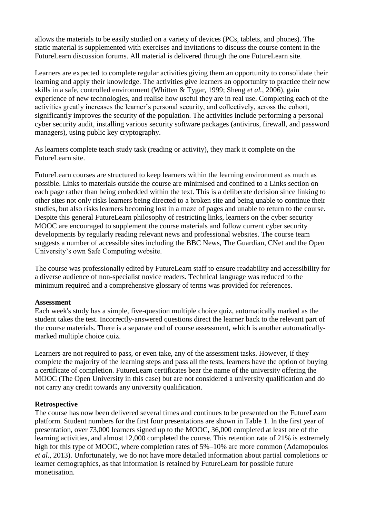allows the materials to be easily studied on a variety of devices (PCs, tablets, and phones). The static material is supplemented with exercises and invitations to discuss the course content in the FutureLearn discussion forums. All material is delivered through the one FutureLearn site.

Learners are expected to complete regular activities giving them an opportunity to consolidate their learning and apply their knowledge. The activities give learners an opportunity to practice their new skills in a safe, controlled environment (Whitten & Tygar, 1999; Sheng *et al.*, 2006), gain experience of new technologies, and realise how useful they are in real use. Completing each of the activities greatly increases the learner's personal security, and collectively, across the cohort, significantly improves the security of the population. The activities include performing a personal cyber security audit, installing various security software packages (antivirus, firewall, and password managers), using public key cryptography.

As learners complete teach study task (reading or activity), they mark it complete on the FutureLearn site.

FutureLearn courses are structured to keep learners within the learning environment as much as possible. Links to materials outside the course are minimised and confined to a Links section on each page rather than being embedded within the text. This is a deliberate decision since linking to other sites not only risks learners being directed to a broken site and being unable to continue their studies, but also risks learners becoming lost in a maze of pages and unable to return to the course. Despite this general FutureLearn philosophy of restricting links, learners on the cyber security MOOC are encouraged to supplement the course materials and follow current cyber security developments by regularly reading relevant news and professional websites. The course team suggests a number of accessible sites including the BBC News, The Guardian, CNet and the Open University's own Safe Computing website.

The course was professionally edited by FutureLearn staff to ensure readability and accessibility for a diverse audience of non-specialist novice readers. Technical language was reduced to the minimum required and a comprehensive glossary of terms was provided for references.

#### **Assessment**

Each week's study has a simple, five-question multiple choice quiz, automatically marked as the student takes the test. Incorrectly-answered questions direct the learner back to the relevant part of the course materials. There is a separate end of course assessment, which is another automaticallymarked multiple choice quiz.

Learners are not required to pass, or even take, any of the assessment tasks. However, if they complete the majority of the learning steps and pass all the tests, learners have the option of buying a certificate of completion. FutureLearn certificates bear the name of the university offering the MOOC (The Open University in this case) but are not considered a university qualification and do not carry any credit towards any university qualification.

#### **Retrospective**

The course has now been delivered several times and continues to be presented on the FutureLearn platform. Student numbers for the first four presentations are shown in Table 1. In the first year of presentation, over 73,000 learners signed up to the MOOC, 36,000 completed at least one of the learning activities, and almost 12,000 completed the course. This retention rate of 21% is extremely high for this type of MOOC, where completion rates of 5%–10% are more common (Adamopoulos *et al.*, 2013). Unfortunately, we do not have more detailed information about partial completions or learner demographics, as that information is retained by FutureLearn for possible future monetisation.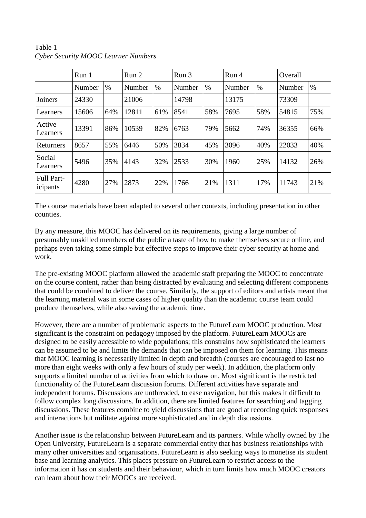|                               | Run 1  |      | Run 2  |      | Run 3  |      | Run 4  |      | Overall |      |
|-------------------------------|--------|------|--------|------|--------|------|--------|------|---------|------|
|                               | Number | $\%$ | Number | $\%$ | Number | $\%$ | Number | $\%$ | Number  | $\%$ |
| Joiners                       | 24330  |      | 21006  |      | 14798  |      | 13175  |      | 73309   |      |
| Learners                      | 15606  | 64%  | 12811  | 61%  | 8541   | 58%  | 7695   | 58%  | 54815   | 75%  |
| Active<br>Learners            | 13391  | 86%  | 10539  | 82%  | 6763   | 79%  | 5662   | 74%  | 36355   | 66%  |
| Returners                     | 8657   | 55%  | 6446   | 50%  | 3834   | 45%  | 3096   | 40%  | 22033   | 40%  |
| Social<br>Learners            | 5496   | 35%  | 4143   | 32%  | 2533   | 30%  | 1960   | 25%  | 14132   | 26%  |
| <b>Full Part-</b><br>icipants | 4280   | 27%  | 2873   | 22%  | 1766   | 21%  | 1311   | 17%  | 11743   | 21%  |

Table 1 *Cyber Security MOOC Learner Numbers*

The course materials have been adapted to several other contexts, including presentation in other counties.

By any measure, this MOOC has delivered on its requirements, giving a large number of presumably unskilled members of the public a taste of how to make themselves secure online, and perhaps even taking some simple but effective steps to improve their cyber security at home and work.

The pre-existing MOOC platform allowed the academic staff preparing the MOOC to concentrate on the course content, rather than being distracted by evaluating and selecting different components that could be combined to deliver the course. Similarly, the support of editors and artists meant that the learning material was in some cases of higher quality than the academic course team could produce themselves, while also saving the academic time.

However, there are a number of problematic aspects to the FutureLearn MOOC production. Most significant is the constraint on pedagogy imposed by the platform. FutureLearn MOOCs are designed to be easily accessible to wide populations; this constrains how sophisticated the learners can be assumed to be and limits the demands that can be imposed on them for learning. This means that MOOC learning is necessarily limited in depth and breadth (courses are encouraged to last no more than eight weeks with only a few hours of study per week). In addition, the platform only supports a limited number of activities from which to draw on. Most significant is the restricted functionality of the FutureLearn discussion forums. Different activities have separate and independent forums. Discussions are unthreaded, to ease navigation, but this makes it difficult to follow complex long discussions. In addition, there are limited features for searching and tagging discussions. These features combine to yield discussions that are good at recording quick responses and interactions but militate against more sophisticated and in depth discussions.

Another issue is the relationship between FutureLearn and its partners. While wholly owned by The Open University, FutureLearn is a separate commercial entity that has business relationships with many other universities and organisations. FutureLearn is also seeking ways to monetise its student base and learning analytics. This places pressure on FutureLearn to restrict access to the information it has on students and their behaviour, which in turn limits how much MOOC creators can learn about how their MOOCs are received.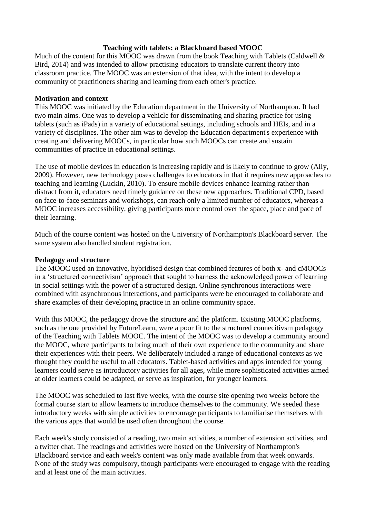# **Teaching with tablets: a Blackboard based MOOC**

Much of the content for this MOOC was drawn from the book Teaching with Tablets (Caldwell & Bird, 2014) and was intended to allow practising educators to translate current theory into classroom practice. The MOOC was an extension of that idea, with the intent to develop a community of practitioners sharing and learning from each other's practice.

### **Motivation and context**

This MOOC was initiated by the Education department in the University of Northampton. It had two main aims. One was to develop a vehicle for disseminating and sharing practice for using tablets (such as iPads) in a variety of educational settings, including schools and HEIs, and in a variety of disciplines. The other aim was to develop the Education department's experience with creating and delivering MOOCs, in particular how such MOOCs can create and sustain communities of practice in educational settings.

The use of mobile devices in education is increasing rapidly and is likely to continue to grow (Ally, 2009). However, new technology poses challenges to educators in that it requires new approaches to teaching and learning (Luckin, 2010). To ensure mobile devices enhance learning rather than distract from it, educators need timely guidance on these new approaches. Traditional CPD, based on face-to-face seminars and workshops, can reach only a limited number of educators, whereas a MOOC increases accessibility, giving participants more control over the space, place and pace of their learning.

Much of the course content was hosted on the University of Northampton's Blackboard server. The same system also handled student registration.

#### **Pedagogy and structure**

The MOOC used an innovative, hybridised design that combined features of both x- and cMOOCs in a 'structured connectivism' approach that sought to harness the acknowledged power of learning in social settings with the power of a structured design. Online synchronous interactions were combined with asynchronous interactions, and participants were be encouraged to collaborate and share examples of their developing practice in an online community space.

With this MOOC, the pedagogy drove the structure and the platform. Existing MOOC platforms, such as the one provided by FutureLearn, were a poor fit to the structured connecitivsm pedagogy of the Teaching with Tablets MOOC. The intent of the MOOC was to develop a community around the MOOC, where participants to bring much of their own experience to the community and share their experiences with their peers. We deliberately included a range of educational contexts as we thought they could be useful to all educators. Tablet-based activities and apps intended for young learners could serve as introductory activities for all ages, while more sophisticated activities aimed at older learners could be adapted, or serve as inspiration, for younger learners.

The MOOC was scheduled to last five weeks, with the course site opening two weeks before the formal course start to allow learners to introduce themselves to the community. We seeded these introductory weeks with simple activities to encourage participants to familiarise themselves with the various apps that would be used often throughout the course.

Each week's study consisted of a reading, two main activities, a number of extension activities, and a twitter chat. The readings and activities were hosted on the University of Northampton's Blackboard service and each week's content was only made available from that week onwards. None of the study was compulsory, though participants were encouraged to engage with the reading and at least one of the main activities.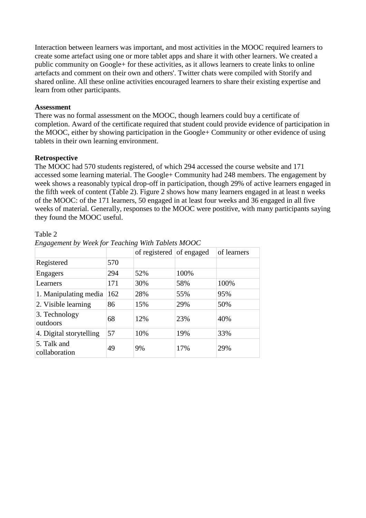Interaction between learners was important, and most activities in the MOOC required learners to create some artefact using one or more tablet apps and share it with other learners. We created a public community on Google+ for these activities, as it allows learners to create links to online artefacts and comment on their own and others'. Twitter chats were compiled with Storify and shared online. All these online activities encouraged learners to share their existing expertise and learn from other participants.

## **Assessment**

There was no formal assessment on the MOOC, though learners could buy a certificate of completion. Award of the certificate required that student could provide evidence of participation in the MOOC, either by showing participation in the Google+ Community or other evidence of using tablets in their own learning environment.

## **Retrospective**

The MOOC had 570 students registered, of which 294 accessed the course website and 171 accessed some learning material. The Google+ Community had 248 members. The engagement by week shows a reasonably typical drop-off in participation, though 29% of active learners engaged in the fifth week of content (Table 2). Figure 2 shows how many learners engaged in at least n weeks of the MOOC: of the 171 learners, 50 engaged in at least four weeks and 36 engaged in all five weeks of material. Generally, responses to the MOOC were postitive, with many participants saying they found the MOOC useful.

| <u>o o</u>                   |     | ິ                        |      |             |
|------------------------------|-----|--------------------------|------|-------------|
|                              |     | of registered of engaged |      | of learners |
| Registered                   | 570 |                          |      |             |
| Engagers                     | 294 | 52%                      | 100% |             |
| Learners                     | 171 | 30%                      | 58%  | 100%        |
| 1. Manipulating media        | 162 | 28%                      | 55%  | 95%         |
| 2. Visible learning          | 86  | 15%                      | 29%  | 50%         |
| 3. Technology<br>outdoors    | 68  | 12%                      | 23%  | 40%         |
| 4. Digital storytelling      | 57  | 10%                      | 19%  | 33%         |
| 5. Talk and<br>collaboration | 49  | 9%                       | 17%  | 29%         |

*Engagement by Week for Teaching With Tablets MOOC*

#### Table 2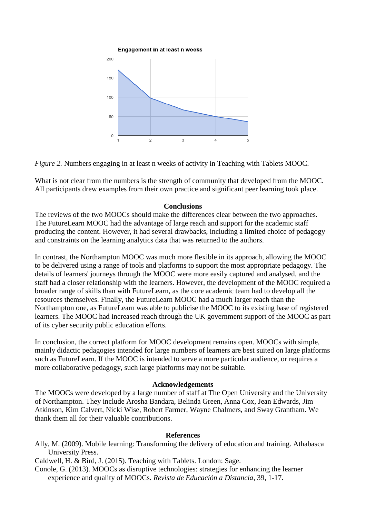Engagement in at least n weeks



*Figure 2.* Numbers engaging in at least n weeks of activity in Teaching with Tablets MOOC.

What is not clear from the numbers is the strength of community that developed from the MOOC. All participants drew examples from their own practice and significant peer learning took place.

#### **Conclusions**

The reviews of the two MOOCs should make the differences clear between the two approaches. The FutureLearn MOOC had the advantage of large reach and support for the academic staff producing the content. However, it had several drawbacks, including a limited choice of pedagogy and constraints on the learning analytics data that was returned to the authors.

In contrast, the Northampton MOOC was much more flexible in its approach, allowing the MOOC to be delivered using a range of tools and platforms to support the most appropriate pedagogy. The details of learners' journeys through the MOOC were more easily captured and analysed, and the staff had a closer relationship with the learners. However, the development of the MOOC required a broader range of skills than with FutureLearn, as the core academic team had to develop all the resources themselves. Finally, the FutureLearn MOOC had a much larger reach than the Northampton one, as FutureLearn was able to publicise the MOOC to its existing base of registered learners. The MOOC had increased reach through the UK government support of the MOOC as part of its cyber security public education efforts.

In conclusion, the correct platform for MOOC development remains open. MOOCs with simple, mainly didactic pedagogies intended for large numbers of learners are best suited on large platforms such as FutureLearn. If the MOOC is intended to serve a more particular audience, or requires a more collaborative pedagogy, such large platforms may not be suitable.

#### **Acknowledgements**

The MOOCs were developed by a large number of staff at The Open University and the University of Northampton. They include Arosha Bandara, Belinda Green, Anna Cox, Jean Edwards, Jim Atkinson, Kim Calvert, Nicki Wise, Robert Farmer, Wayne Chalmers, and Sway Grantham. We thank them all for their valuable contributions.

#### **References**

- Ally, M. (2009). Mobile learning: Transforming the delivery of education and training. Athabasca University Press.
- Caldwell, H. & Bird, J. (2015). Teaching with Tablets. London: Sage.
- Conole, G. (2013). MOOCs as disruptive technologies: strategies for enhancing the learner experience and quality of MOOCs. *Revista de Educación a Distancia*, 39, 1-17.